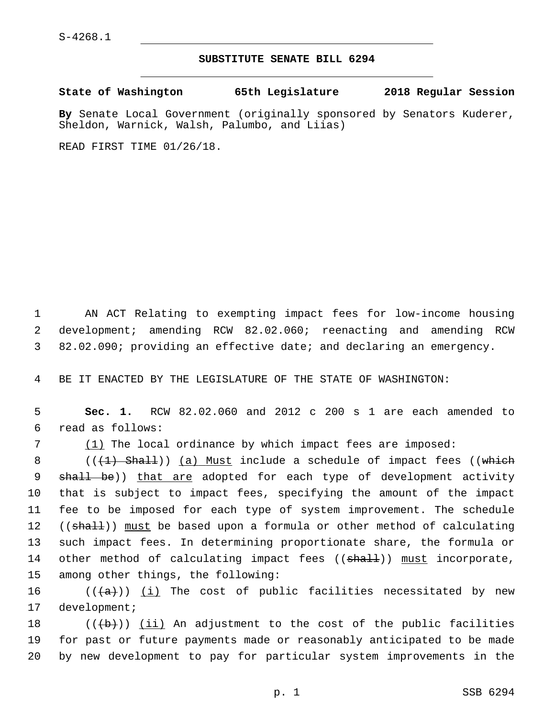## **SUBSTITUTE SENATE BILL 6294**

**State of Washington 65th Legislature 2018 Regular Session**

**By** Senate Local Government (originally sponsored by Senators Kuderer, Sheldon, Warnick, Walsh, Palumbo, and Liias)

READ FIRST TIME 01/26/18.

1 AN ACT Relating to exempting impact fees for low-income housing 2 development; amending RCW 82.02.060; reenacting and amending RCW 3 82.02.090; providing an effective date; and declaring an emergency.

4 BE IT ENACTED BY THE LEGISLATURE OF THE STATE OF WASHINGTON:

5 **Sec. 1.** RCW 82.02.060 and 2012 c 200 s 1 are each amended to read as follows:6

7 (1) The local ordinance by which impact fees are imposed:

8 ( $(\overline{+1}$  Shall)) (a) Must include a schedule of impact fees ((which 9 shall be)) that are adopted for each type of development activity 10 that is subject to impact fees, specifying the amount of the impact 11 fee to be imposed for each type of system improvement. The schedule 12 ((shall)) must be based upon a formula or other method of calculating 13 such impact fees. In determining proportionate share, the formula or 14 other method of calculating impact fees (( $\text{shall}$ )) must incorporate, 15 among other things, the following:

16  $((+a))$  <u>(i)</u> The cost of public facilities necessitated by new 17 development;

18  $((+b))$  (ii) An adjustment to the cost of the public facilities 19 for past or future payments made or reasonably anticipated to be made 20 by new development to pay for particular system improvements in the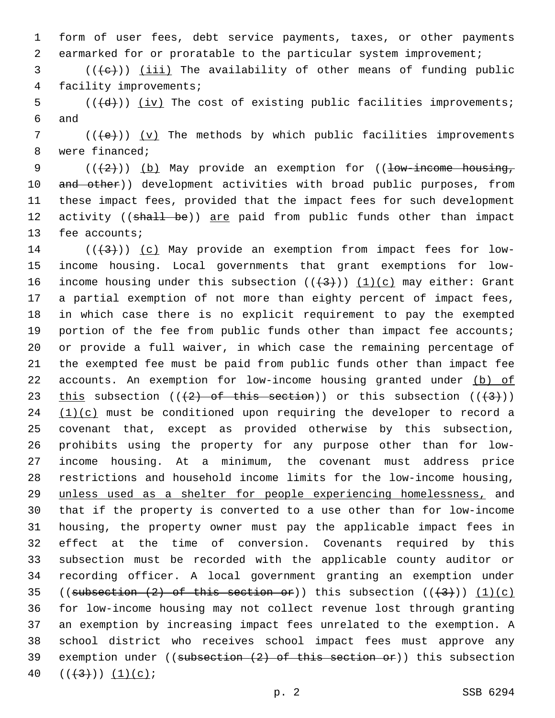form of user fees, debt service payments, taxes, or other payments earmarked for or proratable to the particular system improvement;

 (( $\left(\frac{1}{1} \text{ i} \text{ i}\right)$ ) (iii) The availability of other means of funding public 4 facility improvements;

5  $((\overline{d}))$   $(iv)$  The cost of existing public facilities improvements; 6 and

 (( $\left(+\in\right)$ )) (v) The methods by which public facilities improvements 8 were financed;

9 ( $(\langle 2 \rangle)$ ) (b) May provide an exemption for ((low-income housing, 10 and other)) development activities with broad public purposes, from these impact fees, provided that the impact fees for such development 12 activity ((shall be)) are paid from public funds other than impact 13 fee accounts;

 $((+3+))$   $(c)$  May provide an exemption from impact fees for low- income housing. Local governments that grant exemptions for low-16 income housing under this subsection  $((+3))$   $(1)(c)$  may either: Grant a partial exemption of not more than eighty percent of impact fees, in which case there is no explicit requirement to pay the exempted portion of the fee from public funds other than impact fee accounts; or provide a full waiver, in which case the remaining percentage of the exempted fee must be paid from public funds other than impact fee 22 accounts. An exemption for low-income housing granted under (b) of 23 this subsection  $((2)$  of this section)) or this subsection  $((43))$   $(1)(c)$  must be conditioned upon requiring the developer to record a covenant that, except as provided otherwise by this subsection, prohibits using the property for any purpose other than for low- income housing. At a minimum, the covenant must address price restrictions and household income limits for the low-income housing, unless used as a shelter for people experiencing homelessness, and that if the property is converted to a use other than for low-income housing, the property owner must pay the applicable impact fees in effect at the time of conversion. Covenants required by this subsection must be recorded with the applicable county auditor or recording officer. A local government granting an exemption under 35 ((subsection  $(2)$  of this section or)) this subsection  $((+3))$   $(1)(c)$  for low-income housing may not collect revenue lost through granting an exemption by increasing impact fees unrelated to the exemption. A school district who receives school impact fees must approve any 39 exemption under ((subsection  $(2)$  of this section or)) this subsection  $((+3)()$   $(1)(c);$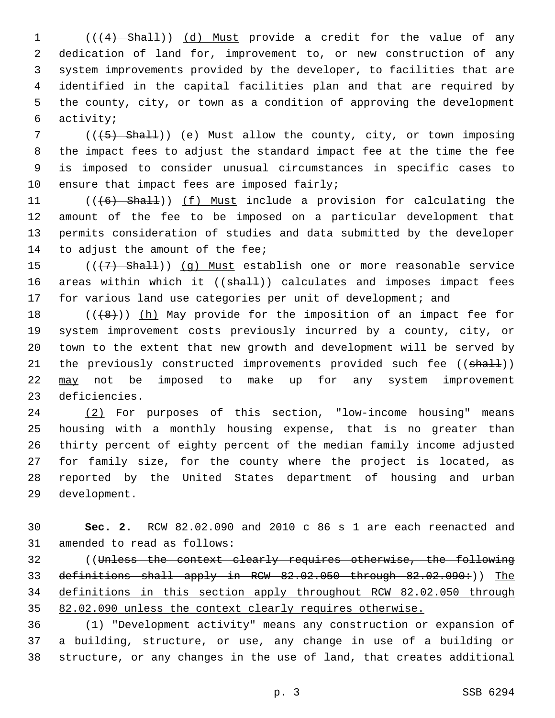1 (( $(4)$  Shall)) (d) Must provide a credit for the value of any dedication of land for, improvement to, or new construction of any system improvements provided by the developer, to facilities that are identified in the capital facilities plan and that are required by the county, city, or town as a condition of approving the development activity;6

7 (( $(5)$  Shall)) (e) Must allow the county, city, or town imposing the impact fees to adjust the standard impact fee at the time the fee is imposed to consider unusual circumstances in specific cases to 10 ensure that impact fees are imposed fairly;

11 (((6) Shall)) (f) Must include a provision for calculating the amount of the fee to be imposed on a particular development that permits consideration of studies and data submitted by the developer 14 to adjust the amount of the fee;

 (((7) Shall)) (g) Must establish one or more reasonable service 16 areas within which it ((shall)) calculates and imposes impact fees 17 for various land use categories per unit of development; and

 $((+8+))$  (h) May provide for the imposition of an impact fee for system improvement costs previously incurred by a county, city, or town to the extent that new growth and development will be served by 21 the previously constructed improvements provided such fee ((shall)) may not be imposed to make up for any system improvement 23 deficiencies.

 (2) For purposes of this section, "low-income housing" means housing with a monthly housing expense, that is no greater than thirty percent of eighty percent of the median family income adjusted for family size, for the county where the project is located, as reported by the United States department of housing and urban 29 development.

 **Sec. 2.** RCW 82.02.090 and 2010 c 86 s 1 are each reenacted and 31 amended to read as follows:

 ((Unless the context clearly requires otherwise, the following 33 definitions shall apply in RCW 82.02.050 through 82.02.090:)) The definitions in this section apply throughout RCW 82.02.050 through 82.02.090 unless the context clearly requires otherwise.

 (1) "Development activity" means any construction or expansion of a building, structure, or use, any change in use of a building or structure, or any changes in the use of land, that creates additional

p. 3 SSB 6294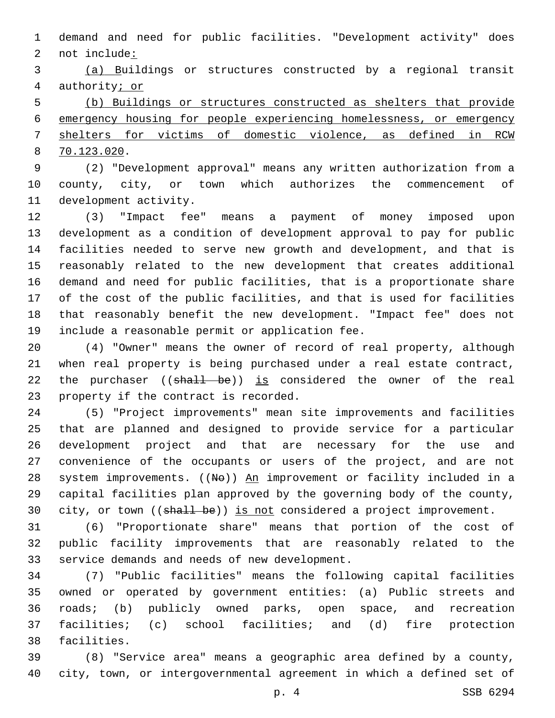demand and need for public facilities. "Development activity" does 2 not include:

 (a) Buildings or structures constructed by a regional transit authority; or

 (b) Buildings or structures constructed as shelters that provide emergency housing for people experiencing homelessness, or emergency shelters for victims of domestic violence, as defined in RCW 70.123.020.8

 (2) "Development approval" means any written authorization from a county, city, or town which authorizes the commencement of 11 development activity.

 (3) "Impact fee" means a payment of money imposed upon development as a condition of development approval to pay for public facilities needed to serve new growth and development, and that is reasonably related to the new development that creates additional demand and need for public facilities, that is a proportionate share of the cost of the public facilities, and that is used for facilities that reasonably benefit the new development. "Impact fee" does not 19 include a reasonable permit or application fee.

 (4) "Owner" means the owner of record of real property, although when real property is being purchased under a real estate contract, 22 the purchaser ((shall be)) is considered the owner of the real 23 property if the contract is recorded.

 (5) "Project improvements" mean site improvements and facilities that are planned and designed to provide service for a particular development project and that are necessary for the use and convenience of the occupants or users of the project, and are not 28 system improvements. ((No)) An improvement or facility included in a capital facilities plan approved by the governing body of the county, 30 city, or town ((shall be)) is not considered a project improvement.

 (6) "Proportionate share" means that portion of the cost of public facility improvements that are reasonably related to the 33 service demands and needs of new development.

 (7) "Public facilities" means the following capital facilities owned or operated by government entities: (a) Public streets and roads; (b) publicly owned parks, open space, and recreation facilities; (c) school facilities; and (d) fire protection 38 facilities.

 (8) "Service area" means a geographic area defined by a county, city, town, or intergovernmental agreement in which a defined set of